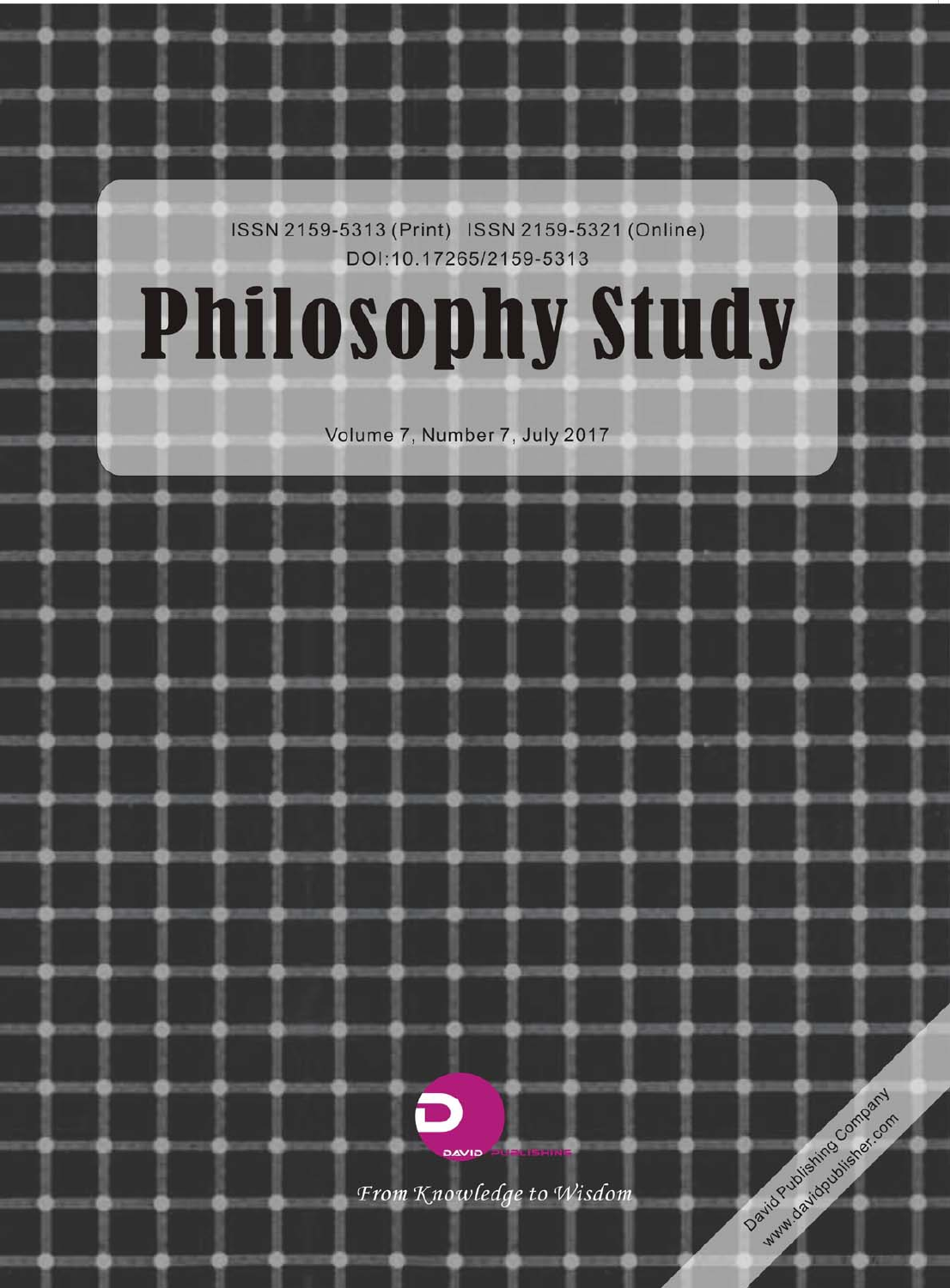ISSN 2159-5313 (Print) ISSN 2159-5321 (Online) DOI:10.17265/2159-5313

# **Philosophy Study**

Volume 7, Number 7, July 2017



From Knowledge to Wisdom

David Publishing Company www.davidoublishex.com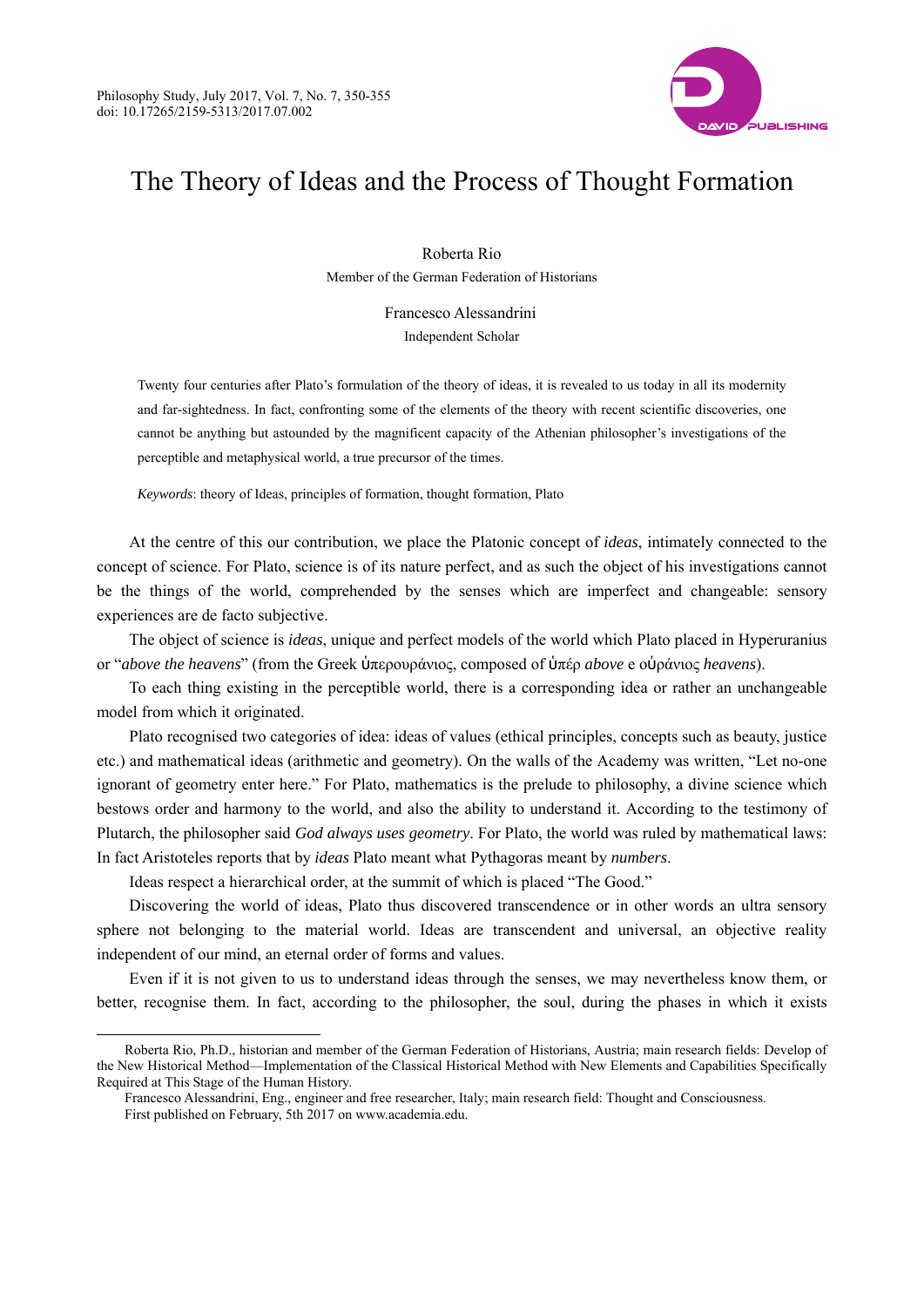

## The Theory of Ideas and the Process of Thought Formation

Roberta Rio Member of the German Federation of Historians

> Francesco Alessandrini Independent Scholar

Twenty four centuries after Plato's formulation of the theory of ideas, it is revealed to us today in all its modernity and far-sightedness. In fact, confronting some of the elements of the theory with recent scientific discoveries, one cannot be anything but astounded by the magnificent capacity of the Athenian philosopher's investigations of the perceptible and metaphysical world, a true precursor of the times.

*Keywords*: theory of Ideas, principles of formation, thought formation, Plato

At the centre of this our contribution, we place the Platonic concept of *ideas*, intimately connected to the concept of science. For Plato, science is of its nature perfect, and as such the object of his investigations cannot be the things of the world, comprehended by the senses which are imperfect and changeable: sensory experiences are de facto subjective.

The object of science is *ideas*, unique and perfect models of the world which Plato placed in Hyperuranius or "*above the heavens*" (from the Greek ὑπερουράνιος, composed of ὑπέρ *above* e οὐράνιος *heavens*).

To each thing existing in the perceptible world, there is a corresponding idea or rather an unchangeable model from which it originated.

Plato recognised two categories of idea: ideas of values (ethical principles, concepts such as beauty, justice etc.) and mathematical ideas (arithmetic and geometry). On the walls of the Academy was written, "Let no-one ignorant of geometry enter here." For Plato, mathematics is the prelude to philosophy, a divine science which bestows order and harmony to the world, and also the ability to understand it. According to the testimony of Plutarch, the philosopher said *God always uses geometry*. For Plato, the world was ruled by mathematical laws: In fact Aristoteles reports that by *ideas* Plato meant what Pythagoras meant by *numbers*.

Ideas respect a hierarchical order, at the summit of which is placed "The Good."

Discovering the world of ideas, Plato thus discovered transcendence or in other words an ultra sensory sphere not belonging to the material world. Ideas are transcendent and universal, an objective reality independent of our mind, an eternal order of forms and values.

Even if it is not given to us to understand ideas through the senses, we may nevertheless know them, or better, recognise them. In fact, according to the philosopher, the soul, during the phases in which it exists

 $\overline{a}$ 

Roberta Rio, Ph.D., historian and member of the German Federation of Historians, Austria; main research fields: Develop of the New Historical Method—Implementation of the Classical Historical Method with New Elements and Capabilities Specifically Required at This Stage of the Human History.

Francesco Alessandrini, Eng., engineer and free researcher, Italy; main research field: Thought and Consciousness.

First published on February, 5th 2017 on www.academia.edu.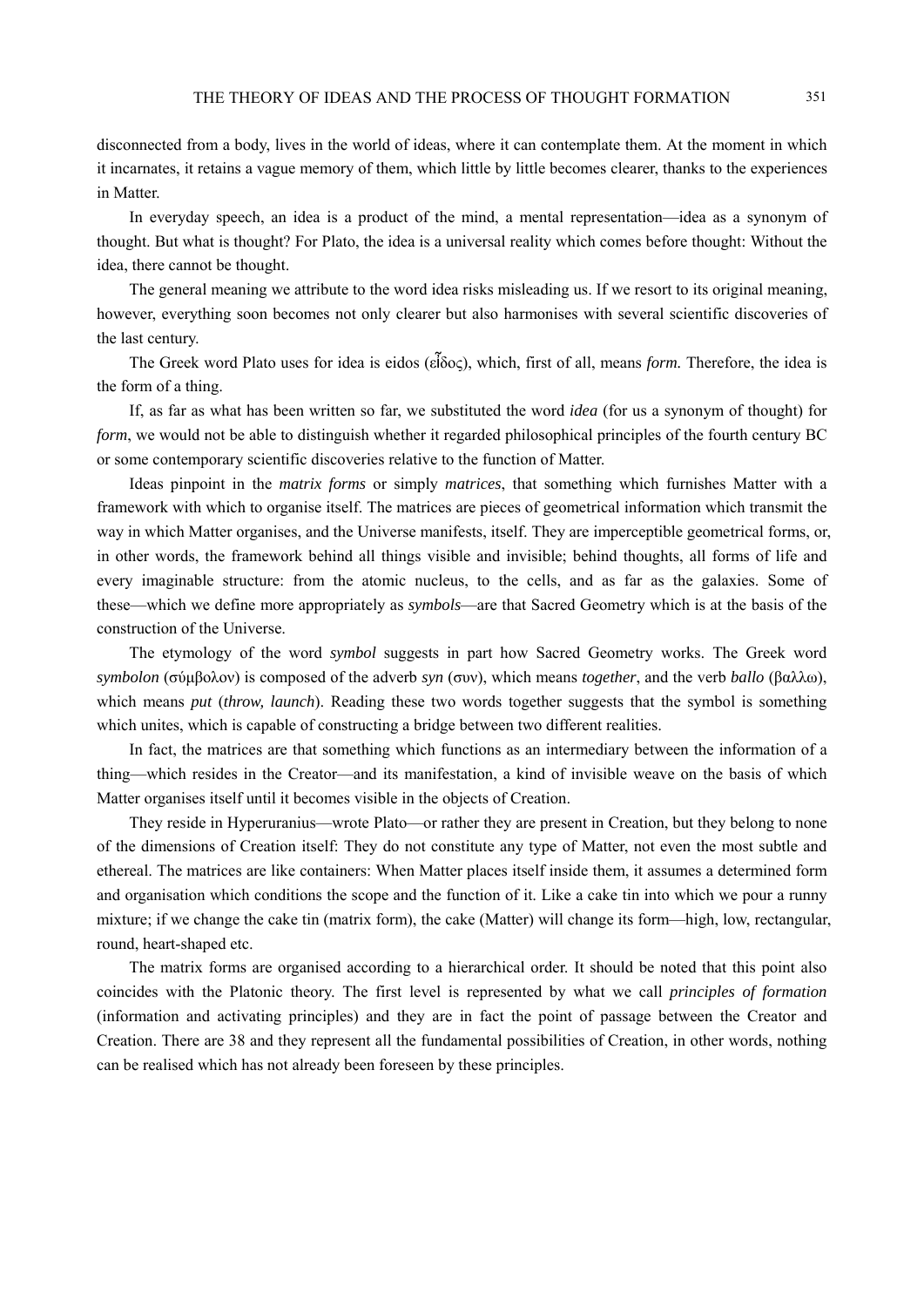disconnected from a body, lives in the world of ideas, where it can contemplate them. At the moment in which it incarnates, it retains a vague memory of them, which little by little becomes clearer, thanks to the experiences in Matter.

In everyday speech, an idea is a product of the mind, a mental representation—idea as a synonym of thought. But what is thought? For Plato, the idea is a universal reality which comes before thought: Without the idea, there cannot be thought.

The general meaning we attribute to the word idea risks misleading us. If we resort to its original meaning, however, everything soon becomes not only clearer but also harmonises with several scientific discoveries of the last century.

The Greek word Plato uses for idea is eidos (εἶδος), which, first of all, means *form.* Therefore, the idea is the form of a thing.

If, as far as what has been written so far, we substituted the word *idea* (for us a synonym of thought) for *form*, we would not be able to distinguish whether it regarded philosophical principles of the fourth century BC or some contemporary scientific discoveries relative to the function of Matter.

Ideas pinpoint in the *matrix forms* or simply *matrices*, that something which furnishes Matter with a framework with which to organise itself. The matrices are pieces of geometrical information which transmit the way in which Matter organises, and the Universe manifests, itself. They are imperceptible geometrical forms, or, in other words, the framework behind all things visible and invisible; behind thoughts, all forms of life and every imaginable structure: from the atomic nucleus, to the cells, and as far as the galaxies. Some of these—which we define more appropriately as *symbols*—are that Sacred Geometry which is at the basis of the construction of the Universe.

The etymology of the word *symbol* suggests in part how Sacred Geometry works. The Greek word *symbolon* (σύμβολον) is composed of the adverb *syn* (συν), which means *together*, and the verb *ballo* (βαλλω), which means *put* (*throw, launch*). Reading these two words together suggests that the symbol is something which unites, which is capable of constructing a bridge between two different realities.

In fact, the matrices are that something which functions as an intermediary between the information of a thing—which resides in the Creator—and its manifestation, a kind of invisible weave on the basis of which Matter organises itself until it becomes visible in the objects of Creation.

They reside in Hyperuranius—wrote Plato—or rather they are present in Creation, but they belong to none of the dimensions of Creation itself: They do not constitute any type of Matter, not even the most subtle and ethereal. The matrices are like containers: When Matter places itself inside them, it assumes a determined form and organisation which conditions the scope and the function of it. Like a cake tin into which we pour a runny mixture; if we change the cake tin (matrix form), the cake (Matter) will change its form—high, low, rectangular, round, heart-shaped etc.

The matrix forms are organised according to a hierarchical order. It should be noted that this point also coincides with the Platonic theory. The first level is represented by what we call *principles of formation*  (information and activating principles) and they are in fact the point of passage between the Creator and Creation. There are 38 and they represent all the fundamental possibilities of Creation, in other words, nothing can be realised which has not already been foreseen by these principles.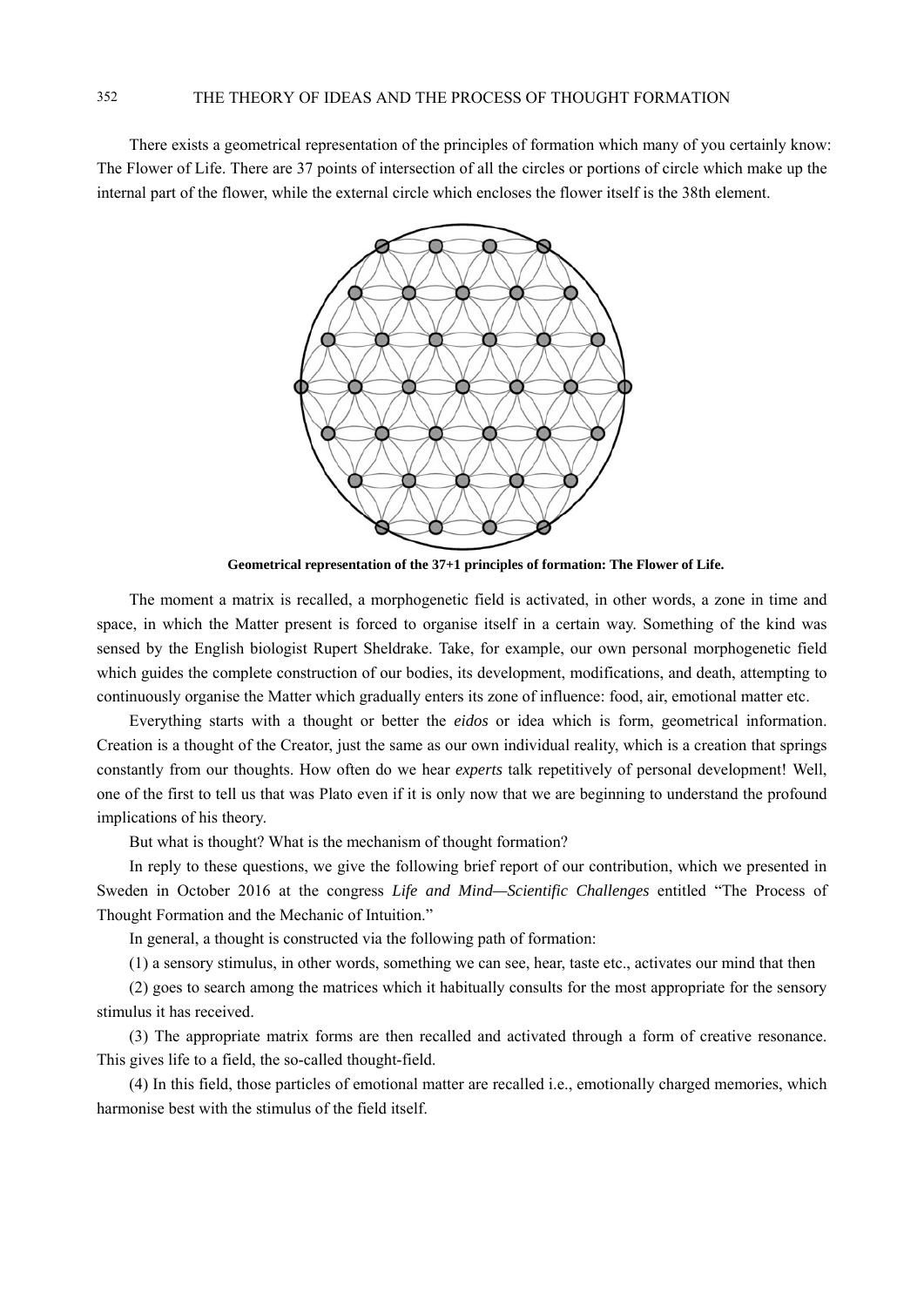There exists a geometrical representation of the principles of formation which many of you certainly know: The Flower of Life. There are 37 points of intersection of all the circles or portions of circle which make up the internal part of the flower, while the external circle which encloses the flower itself is the 38th element.



**Geometrical representation of the 37+1 principles of formation: The Flower of Life.**

The moment a matrix is recalled, a morphogenetic field is activated, in other words, a zone in time and space, in which the Matter present is forced to organise itself in a certain way. Something of the kind was sensed by the English biologist Rupert Sheldrake. Take, for example, our own personal morphogenetic field which guides the complete construction of our bodies, its development, modifications, and death, attempting to continuously organise the Matter which gradually enters its zone of influence: food, air, emotional matter etc.

Everything starts with a thought or better the *eidos* or idea which is form, geometrical information. Creation is a thought of the Creator, just the same as our own individual reality, which is a creation that springs constantly from our thoughts. How often do we hear *experts* talk repetitively of personal development! Well, one of the first to tell us that was Plato even if it is only now that we are beginning to understand the profound implications of his theory.

But what is thought? What is the mechanism of thought formation?

In reply to these questions, we give the following brief report of our contribution, which we presented in Sweden in October 2016 at the congress *Life and Mind—Scientific Challenges* entitled "The Process of Thought Formation and the Mechanic of Intuition."

In general, a thought is constructed via the following path of formation:

(1) a sensory stimulus, in other words, something we can see, hear, taste etc., activates our mind that then

(2) goes to search among the matrices which it habitually consults for the most appropriate for the sensory stimulus it has received.

(3) The appropriate matrix forms are then recalled and activated through a form of creative resonance. This gives life to a field, the so-called thought-field.

(4) In this field, those particles of emotional matter are recalled i.e., emotionally charged memories, which harmonise best with the stimulus of the field itself.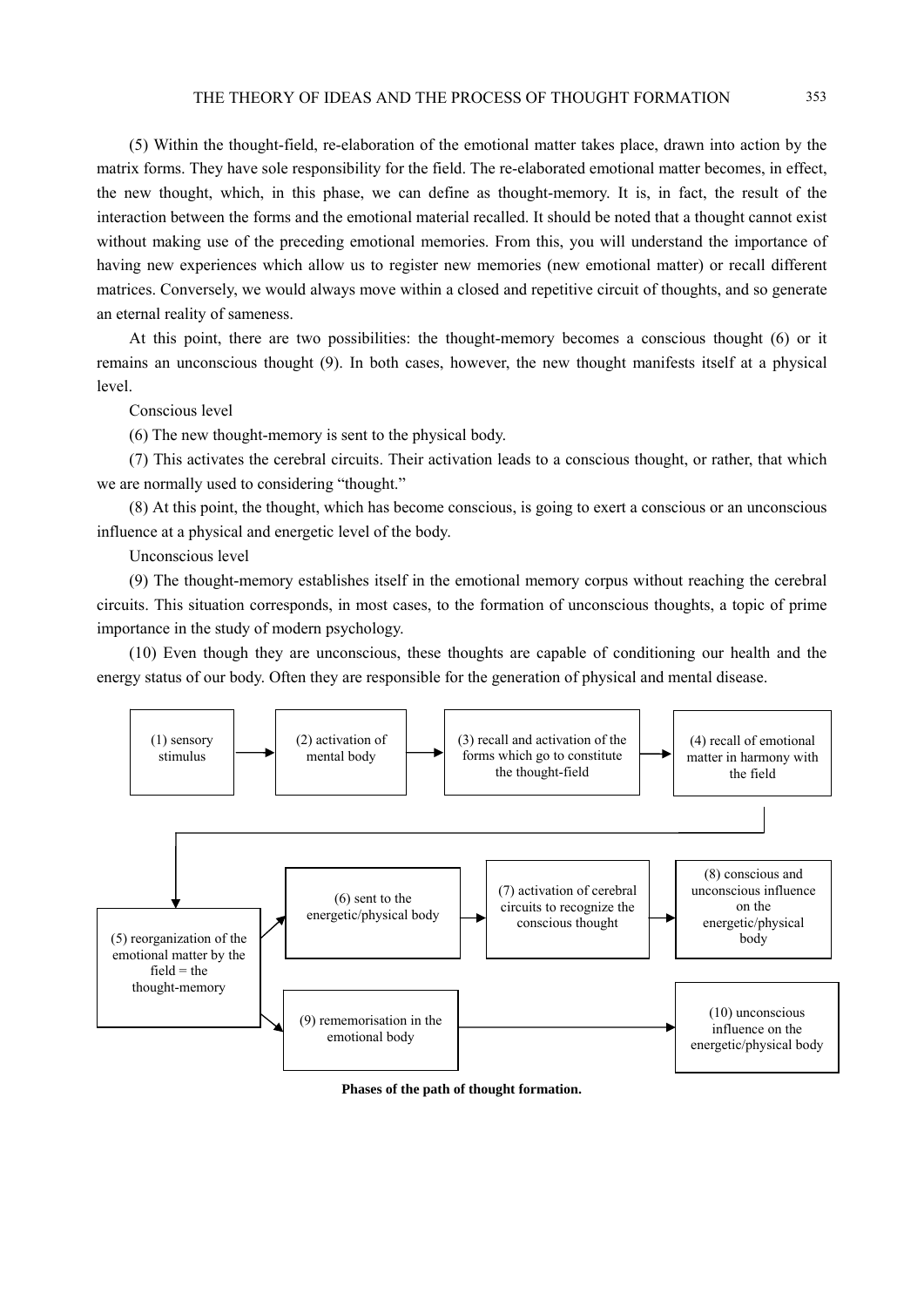#### THE THEORY OF IDEAS AND THE PROCESS OF THOUGHT FORMATION 353

(5) Within the thought-field, re-elaboration of the emotional matter takes place, drawn into action by the matrix forms. They have sole responsibility for the field. The re-elaborated emotional matter becomes, in effect, the new thought, which, in this phase, we can define as thought-memory. It is, in fact, the result of the interaction between the forms and the emotional material recalled. It should be noted that a thought cannot exist without making use of the preceding emotional memories. From this, you will understand the importance of having new experiences which allow us to register new memories (new emotional matter) or recall different matrices. Conversely, we would always move within a closed and repetitive circuit of thoughts, and so generate an eternal reality of sameness.

At this point, there are two possibilities: the thought-memory becomes a conscious thought (6) or it remains an unconscious thought (9). In both cases, however, the new thought manifests itself at a physical level.

Conscious level

(6) The new thought-memory is sent to the physical body.

(7) This activates the cerebral circuits. Their activation leads to a conscious thought, or rather, that which we are normally used to considering "thought."

(8) At this point, the thought, which has become conscious, is going to exert a conscious or an unconscious influence at a physical and energetic level of the body.

Unconscious level

(9) The thought-memory establishes itself in the emotional memory corpus without reaching the cerebral circuits. This situation corresponds, in most cases, to the formation of unconscious thoughts, a topic of prime importance in the study of modern psychology.

(10) Even though they are unconscious, these thoughts are capable of conditioning our health and the energy status of our body. Often they are responsible for the generation of physical and mental disease.



**Phases of the path of thought formation.**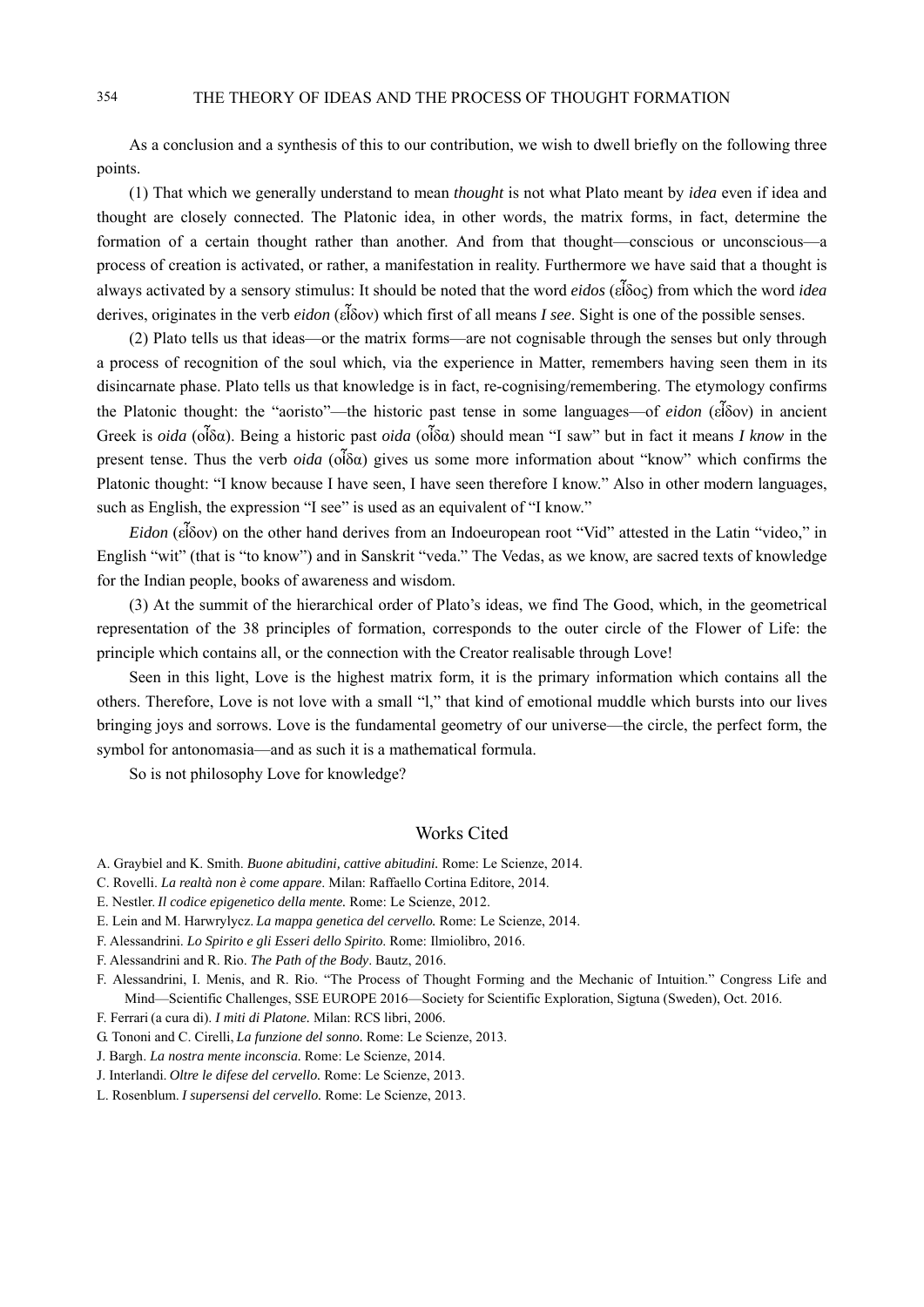As a conclusion and a synthesis of this to our contribution, we wish to dwell briefly on the following three points.

(1) That which we generally understand to mean *thought* is not what Plato meant by *idea* even if idea and thought are closely connected. The Platonic idea, in other words, the matrix forms, in fact, determine the formation of a certain thought rather than another. And from that thought—conscious or unconscious—a process of creation is activated, or rather, a manifestation in reality. Furthermore we have said that a thought is always activated by a sensory stimulus: It should be noted that the word *eidos* (εἶδος) from which the word *idea* derives, originates in the verb *eidon* (εἶδον) which first of all means *I see*. Sight is one of the possible senses.

(2) Plato tells us that ideas—or the matrix forms—are not cognisable through the senses but only through a process of recognition of the soul which, via the experience in Matter, remembers having seen them in its disincarnate phase. Plato tells us that knowledge is in fact, re-cognising/remembering. The etymology confirms the Platonic thought: the "aoristo"—the historic past tense in some languages—of *eidon* (εἶδον) in ancient Greek is *oida* (οἶδα). Being a historic past *oida* (οἶδα) should mean "I saw" but in fact it means *I know* in the present tense. Thus the verb *oida* (οἶδα) gives us some more information about "know" which confirms the Platonic thought: "I know because I have seen, I have seen therefore I know." Also in other modern languages, such as English, the expression "I see" is used as an equivalent of "I know."

*Eidon* (εἶδον) on the other hand derives from an Indoeuropean root "Vid" attested in the Latin "video," in English "wit" (that is "to know") and in Sanskrit "veda." The Vedas, as we know, are sacred texts of knowledge for the Indian people, books of awareness and wisdom.

(3) At the summit of the hierarchical order of Plato's ideas, we find The Good, which, in the geometrical representation of the 38 principles of formation, corresponds to the outer circle of the Flower of Life: the principle which contains all, or the connection with the Creator realisable through Love!

Seen in this light, Love is the highest matrix form, it is the primary information which contains all the others. Therefore, Love is not love with a small "l," that kind of emotional muddle which bursts into our lives bringing joys and sorrows. Love is the fundamental geometry of our universe—the circle, the perfect form, the symbol for antonomasia—and as such it is a mathematical formula.

So is not philosophy Love for knowledge?

#### Works Cited

- A. Graybiel and K. Smith. *Buone abitudini, cattive abitudini.* Rome: Le Scienze, 2014.
- C. Rovelli. *La realtà non è come appare*. Milan: Raffaello Cortina Editore, 2014.
- E. Nestler. *Il codice epigenetico della mente.* Rome: Le Scienze, 2012.
- E. Lein and M. Harwrylycz. *La mappa genetica del cervello.* Rome: Le Scienze, 2014.
- F. Alessandrini. *Lo Spirito e gli Esseri dello Spirito*. Rome: Ilmiolibro, 2016.
- F. Alessandrini and R. Rio. *The Path of the Body*. Bautz, 2016.
- F. Alessandrini, I. Menis, and R. Rio. "The Process of Thought Forming and the Mechanic of Intuition." Congress Life and Mind—Scientific Challenges, SSE EUROPE 2016—Society for Scientific Exploration, Sigtuna (Sweden), Oct. 2016.
- F. Ferrari (a cura di). *I miti di Platone.* Milan: RCS libri, 2006.
- G. Tononi and C. Cirelli, *La funzione del sonno.* Rome: Le Scienze, 2013.
- J. Bargh. *La nostra mente inconscia.* Rome: Le Scienze, 2014.
- J. Interlandi. *Oltre le difese del cervello.* Rome: Le Scienze, 2013.
- L. Rosenblum. *I supersensi del cervello.* Rome: Le Scienze, 2013.